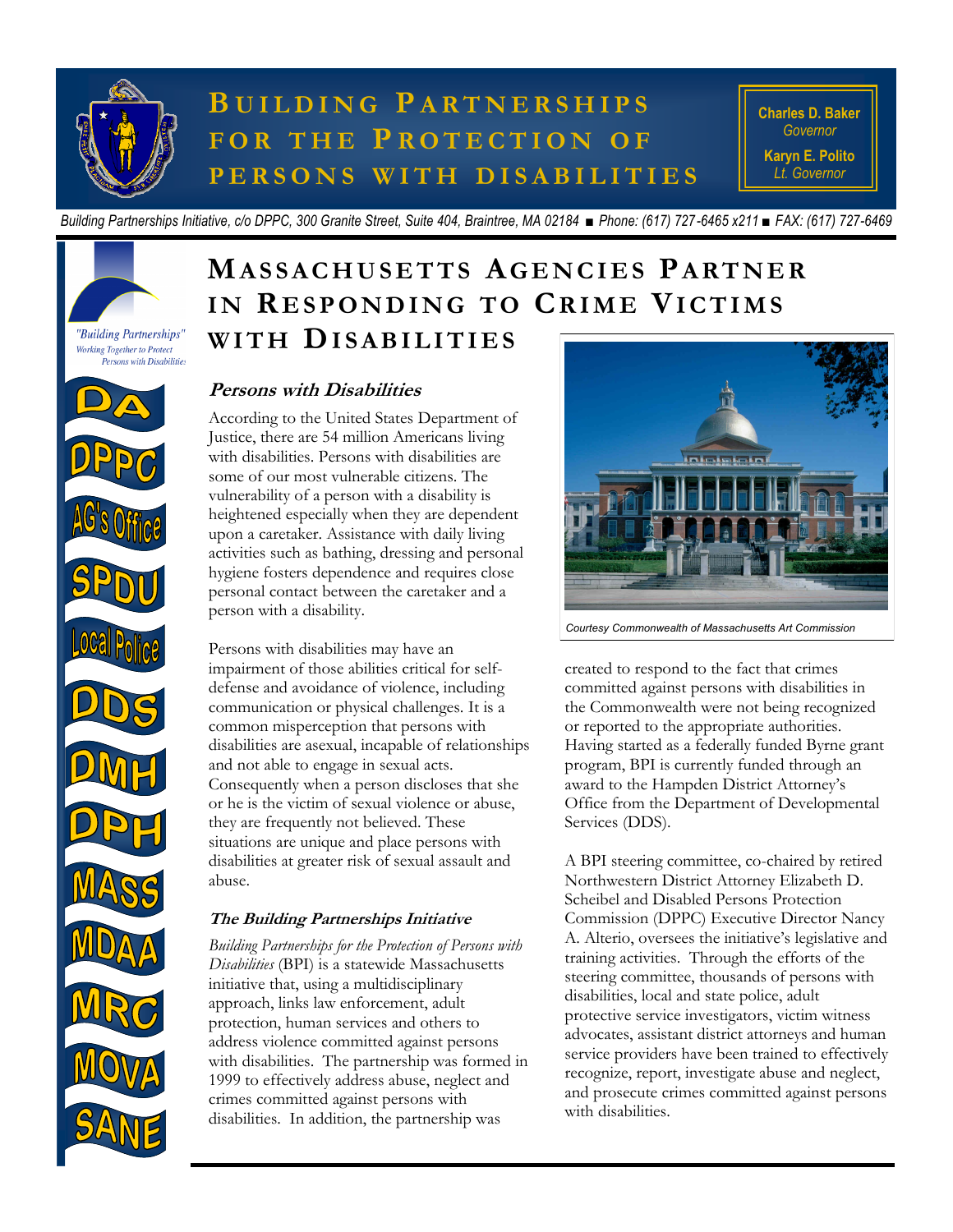

# **B U I L D I N G P A R T N E R S H I P S F O R T H E P R O T E C T I O N O F P E R S O N S W I T H D I S A B I L I T I E S**

**Charles D. Baker** *Governor* **Karyn E. Polito** *Lt. Governor*

*Building Partnerships Initiative, c/o DPPC, 300 Granite Street, Suite 404, Braintree, MA 02184 ■ Phone: (617) 727-6465 x211 ■ FAX: (617) 727-6469*

## **MA S S A C H U S E T T S A G E N C I E S PA RT N E R** IN RESPONDING TO CRIME VICTIMS **W I T H DI S A B I L I T I E S**



### **Persons with Disabilities**

According to the United States Department of Justice, there are 54 million Americans living with disabilities. Persons with disabilities are some of our most vulnerable citizens. The vulnerability of a person with a disability is heightened especially when they are dependent upon a caretaker. Assistance with daily living activities such as bathing, dressing and personal hygiene fosters dependence and requires close personal contact between the caretaker and a person with a disability.

Persons with disabilities may have an impairment of those abilities critical for selfdefense and avoidance of violence, including communication or physical challenges. It is a common misperception that persons with disabilities are asexual, incapable of relationships and not able to engage in sexual acts. Consequently when a person discloses that she or he is the victim of sexual violence or abuse, they are frequently not believed. These situations are unique and place persons with disabilities at greater risk of sexual assault and abuse.

### **The Building Partnerships Initiative**

*Building Partnerships for the Protection of Persons with Disabilities* (BPI) is a statewide Massachusetts initiative that, using a multidisciplinary approach, links law enforcement, adult protection, human services and others to address violence committed against persons with disabilities. The partnership was formed in 1999 to effectively address abuse, neglect and crimes committed against persons with disabilities. In addition, the partnership was



*Courtesy Commonwealth of Massachusetts Art Commission*

created to respond to the fact that crimes committed against persons with disabilities in the Commonwealth were not being recognized or reported to the appropriate authorities. Having started as a federally funded Byrne grant program, BPI is currently funded through an award to the Hampden District Attorney's Office from the Department of Developmental Services (DDS).

A BPI steering committee, co-chaired by retired Northwestern District Attorney Elizabeth D. Scheibel and Disabled Persons Protection Commission (DPPC) Executive Director Nancy A. Alterio, oversees the initiative's legislative and training activities. Through the efforts of the steering committee, thousands of persons with disabilities, local and state police, adult protective service investigators, victim witness advocates, assistant district attorneys and human service providers have been trained to effectively recognize, report, investigate abuse and neglect, and prosecute crimes committed against persons with disabilities.